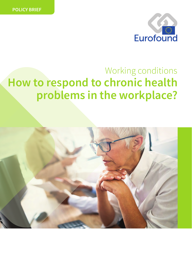

# **How to respond to chronic health problems in the workplace?** Working conditions

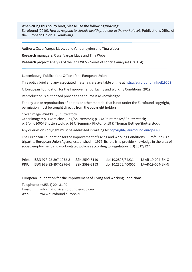**When citing this policy brief, please use the following wording:**

Eurofound (2019), *How to respond to chronic health problems in the workplace?*, Publications Office of the European Union, Luxembourg.

**Authors:** Oscar Vargas Llave, Julie Vanderleyden and Tina Weber

**Research managers:** Oscar Vargas Llave and Tina Weber

**Research project:** Analysis of the 6th EWCS – Series of concise analyses (190104)

**Luxembourg**: Publications Office of the European Union

This policy brief and any associated materials are available online at <http://eurofound.link/ef19008>

© European Foundation for the Improvement of Living and Working Conditions, 2019

Reproduction is authorised provided the source is acknowledged.

For any use or reproduction of photos or other material that is not under the Eurofound copyright, permission must be sought directly from the copyright holders.

Cover image: ©nd3000/Shutterstock

j

Other images: p. 1 © michaeljung/Shutterstock; p. 2 © PointImages/ Shutterstock; p. 5 © nd3000/ Shutterstock; p. 16 © Semmick Photo; p. 18 © Thomas Bethge/Shutterstock.

Any queries on copyright must be addressed in writing to: [copyright@eurofound.europa.eu](mailto:copyright@eurofound.europa.eu)

The European Foundation for the Improvement of Living and Working Conditions (Eurofound) is a tripartite European Union Agency established in 1975. Its role is to provide knowledge in the area of social, employment and work-related policies according to Regulation (EU) 2019/127.

|      | <b>Print: ISBN 978-92-897-1972-8</b> | ISSN 2599-8110 | doi:10.2806/84231  | TJ-AR-19-004-EN-C |
|------|--------------------------------------|----------------|--------------------|-------------------|
| PDF: | ISBN 978-92-897-1976-6               | ISSN 2599-8153 | doi:10.2806/400505 | TJ-AR-19-004-EN-N |

#### **European Foundation for the Improvement of Living and Working Conditions**

**Telephone**: (+353 1) 204 31 00

**Email**: [information@eurofound.europa.eu](mailto:information@eurofound.europa.eu) 

**Web**: www.eurofound.europa.eu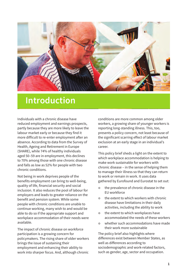

# **Introduction**

Individuals with a chronic disease have reduced employment and earnings prospects, partly because they are more likely to leave the labour market early or because they find it more difficult to re-enter employment after an absence. According to data from the Survey of Health, Ageing and Retirement in Europe (SHARE), while 74% of healthy individuals aged 50–59 are in employment, this declines to 70% among those with one chronic disease and falls as low as 52% for people with two chronic conditions.

Not being in work deprives people of the benefits employment can bring to well-being, quality of life, financial security and social inclusion. It also reduces the pool of labour for employers and leads to greater reliance on the benefit and pension system. While some people with chronic conditions are unable to continue working, many wish to and would be able to do so if the appropriate support and workplace accommodation of their needs were available.

The impact of chronic disease on workforce participation is a growing concern for policymakers. The rising share of older workers brings the issue of sustaining their employment and enhancing their ability to work into sharper focus. And, although chronic

conditions are more common among older workers, a growing share of younger workers is reporting long-standing illness. This, too, presents a policy concern, not least because of the significant scarring effect of labour market exclusion at an early stage in an individual's career.

This policy brief sheds a light on the extent to which workplace accommodation is helping to make work sustainable for workers with chronic disease – in the sense of helping them to manage their illness so that they can return to work or remain in work. It uses data gathered by Eurofound and Eurostat to set out:

- $\bullet$  the prevalence of chronic disease in the EU workforce
- the extent to which workers with chronic disease have limitations in their daily activities, including the ability to work
- $\bullet$  the extent to which workplaces have accommodated the needs of these workers
- $\bullet$  whether such accommodations have made their work more sustainable

The policy brief also highlights where differences exist between Member States, as well as differences according to sociodemographic and work-related factors, such as gender, age, sector and occupation.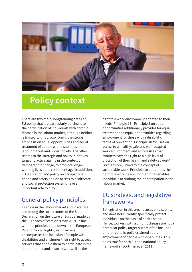

# **Policy context**

There are two main, longstanding areas of EU policy that are particularly pertinent to the participation of individuals with chronic disease in the labour market, although neither is limited to this group. One is the strong emphasis on equal opportunities and equal treatment of people with disabilities in the labour market and wider society. The other relates to the strategic and policy initiatives targeting active ageing in the context of demographic change, to promote longer working lives up to retirement age. In addition, EU legislation and policy on occupational health and safety and on access to healthcare and social protection systems have an important role to play.

# General policy principles

Fairness in the labour market and in welfare are among the cornerstones of the Sibiu Declaration on the future of Europe, made by the EU heads of state on 9 May 2019. In line with the principles laid down in the European Pillar of Social Rights, such fairness encompasses the inclusion of people with disabilities and enshrines their right to access services that enable them to participate in the labour market and in society, as well as the

right to a work environment adapted to their needs (Principle 17). Principle 3 on equal opportunities additionally provides for equal treatment and equal opportunities regarding employment for those with a disability. In terms of prevention, Principle 10 focuses on access to a healthy, safe and well-adapted work environment and emphasises that 'workers have the right to a high level of protection of their health and safety at work'. Furthermore, linked to the concept of sustainable work, Principle 10 underlines the right to a working environment that enables individuals to prolong their participation in the labour market.

# EU strategic and legislative frameworks

EU legislation in this area focuses on disability and does not currently specifically protect individuals on the basis of health status. Hence, workers with a chronic disease are not a particular policy target but are often included or referred to in policies aimed at the employment of people with disabilities. This holds true for both EU and national policy frameworks (Oortmijn et al, 2011).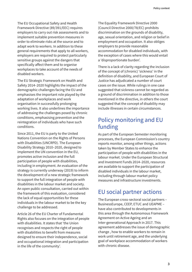The EU Occupational Safety and Health Framework Directive (89/391/EEC) requires employers to carry out risk assessments and to implement suitable prevention measures in order to eliminate risks at the source and to adapt work to workers. In addition to these general requirements that apply to all workers, employers are required to protect particularly sensitive groups against the dangers that specifically affect them and to organise workplaces to take account of the needs of disabled workers.

The EU Strategic Framework on Health and Safety 2014–2020 highlights the impact of the demographic challenges facing the EU and emphasises the important role played by the adaptation of workplaces and work organisation in successfully prolonging working lives. It also underlines the importance of addressing the challenges posed by chronic conditions, emphasising prevention and the reintegration of individuals who have such conditions.

Since 2011, the EU is party to the United Nations Convention on the Rights of Persons with Disabilities (UNCRPD). The European Disability Strategy 2010–2020, designed to implement the UN convention in the EU, promotes active inclusion and the full participation of people with disabilities, including in employment. An evaluation of the strategy is currently underway (2019) to inform the development of a new strategic framework to support the full integration of people with disabilities in the labour market and society. An open public consultation, carried out within the framework of this evaluation, considered the lack of equal opportunities for these individuals in the labour market to be the key challenge to be addressed.

Article 26 of the EU Charter of Fundamental Rights also focuses on the integration of people with disabilities. It states that 'the Union recognises and respects the right of people with disabilities to benefit from measures designed to ensure their independence, social and occupational integration and participation in the life of the community'.

The Equality Framework Directive 2000 (Council Directive 2000/78/EC) prohibits discrimination on the grounds of disability, age, sexual orientation, and religion or belief in employment and occupation. It also obliges employers to provide reasonable accommodation for disabled individuals, with the exception of cases where this would entail a 'disproportionate burden'.

There is a lack of clarity regarding the inclusion of the concept of (chronic) 'sickness' in the definition of disability, and European Court of Justice has adjudicated a number of court cases on the issue. While rulings in one case suggested that sickness cannot be regarded as a ground of discrimination in addition to those mentioned in the directive, in others the court suggested that the concept of disability may include illnesses in certain circumstances.

# Policy monitoring and EU funding

As part of the European Semester monitoring processes, the European Commission's country reports monitor, among other things, actions taken by Member States to enhance the participation of people with disabilities in the labour market. Under the European Structural and Investment Funds 2014–2020, resources are available to support the participation of disabled individuals in the labour market, including through labour market policy measures and infrastructure investments.

# EU social partner actions

The European cross-sectoral social partners – BusinessEurope, CEEP, ETUC and UEAPME – have also contributed to developments in this area through the Autonomous Framework Agreement on Active Ageing and an Inter-generational Approach in 2017. This agreement addresses the issue of demographic change , how to enable workers to remain in work until retirement age, and the underlying goal of workplace accommodation of workers with chronic disease.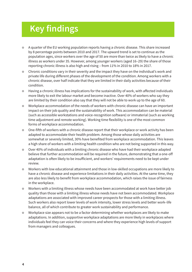# **Key findings**

- A quarter of the EU working population reports having a chronic disease. This share increased by 8 percentage points between 2010 and 2017. The upward trend is set to continue as the population ages, since workers over the age of 50 are more than twice as likely to have a chronic illness as workers under 35. However, among younger workers (aged 16–29) the share of those reporting chronic illness is also high and rising – from 11% in 2010 to 18% in 2017.
- Chronic conditions vary in their severity and the impact they have on the individual's work and private life during different phases of the development of the condition. Among workers with a chronic disease, over half indicate that they are limited in their daily activities because of their condition.
- $\bullet$  Having a chronic illness has implications for the sustainability of work, with affected individuals more likely to exit the labour market and become inactive. Over 40% of workers who say they are limited by their condition also say that they will not be able to work up to the age of 60.
- **•** Workplace accommodation of the needs of workers with chronic disease can have an important impact on their job quality and the sustainability of work. This accommodation can be material (such as accessible workstations and voice-recognition software) or immaterial (such as working time adjustment and remote working). Working time flexibility is one of the most common forms of workplace accommodation.
- One-fifth of workers with a chronic disease report that their workplace or work activity has been adapted to accommodate their health problem. Among those whose daily activities are somewhat or severely limited, 30% have benefited from workplace accommodation. This leaves a high share of workers with a limiting health condition who are not being supported in this way.
- **•** Over 40% of individuals with a limiting chronic disease who have had their workplace adapted believe that further accommodation will be required in the future, demonstrating that a one-off adaptation is often likely to be insufficient, and workers' requirements need to be kept under review.
- Workers with low educational attainment and those in low-skilled occupations are more likely to have a chronic disease and experience limitations in their daily activities. At the same time, they are also less likely to benefit from workplace accommodation, which raises the issue of fairness in the workplace.
- **•** Workers with a limiting illness whose needs have been accommodated at work have better job quality than those with a limiting illness whose needs have not been accommodated. Workplace adaptations are associated with improved career prospects for those with a limiting illness. Such workers also report lower levels of work intensity, lower stress levels and better work–life balance, all of which contribute to greater work sustainability and performance.
- Workplace size appears not to be a factor determining whether workplaces are likely to make adaptations. In addition, supportive workplace adaptations are more likely in workplaces where individuals feel they can voice their concerns and where they experience high levels of support from managers and colleagues.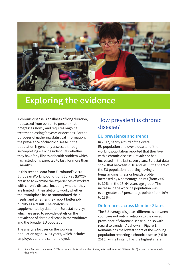

# **Exploring the evidence**

A chronic disease is an illness of long duration, not passed from person to person, that progresses slowly and requires ongoing treatment lasting for years or decades. For the purposes of gathering statistical information, the prevalence of chronic disease in the population is generally assessed through self-reporting – asking individuals whether they have 'any illness or health problem which has lasted, or is expected to last, for more than 6 months'.

In this section, data from Eurofound's 2015 European Working Conditions Survey (EWCS) are used to examine the experiences of workers with chronic disease, including whether they are limited in their ability to work, whether their workplace has accommodated their needs, and whether they report better job quality as a result. The analysis is supplemented by data from Eurostat surveys, which are used to provide details on the prevalence of chronic disease in the workforce and the broader EU population.

The analysis focuses on the working population aged 16–64 years, which includes employees and the self-employed.

# How prevalent is chronic disease?

## **EU prevalence and trends**

In 2017, nearly a third of the overall EU population and over a quarter of the working population reported that they live with a chronic disease. Prevalence has increased in the last seven years. Eurostat data show that between 2010 and 2017, the share of the EU population reporting having a longstanding illness or health problem increased by 6 percentage points (from 24% to 30%) in the 16–64 years age group. The increase in the working population was even greater at 8 percentage points (from 19% to 28%).

## **Differences across Member States**

The EU average disguises differences between countries not only in relation to the overall prevalence of chronic disease but also with regard to trends. $^1$  As shown in Figure 1, Romania has the lowest share of the working population reporting a chronic disease (5% in 2015), while Finland has the highest share

**<sup>1</sup>** Since Eurostat data from 2017 is not available for all Member States, information from 2015 (and 2010) is used in the analysis that follows.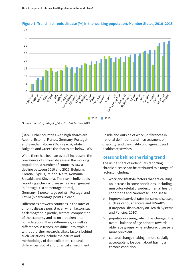



**Source:** *Eurostat, hlth\_silc\_04, extracted 14 June 2019*

(34%). Other countries with high shares are Austria, Estonia, France, Germany, Portugal and Sweden (above 25% in each), while in Bulgaria and Greece the shares are below 10%.

While there has been an overall increase in the prevalence of chronic disease in the working population, a number of countries saw a decline between 2010 and 2015: Belgium, Croatia, Cyprus, Ireland, Malta, Romania, Slovakia and Slovenia. The rise in individuals reporting a chronic disease has been greatest in Portugal (10 percentage points), Germany (9 percentage points), Portugal and Latvia (5 percentage points in each).

Differences between countries in the rates of chronic disease persist even when factors such as demographic profile, sectoral composition of the economy and so on are taken into consideration. These differences, as well as differences in trends, are difficult to explain without further research. Likely factors behind such variations include the nature and methodology of data collection, cultural differences, social and physical environment

(inside and outside of work), differences in national definitions and in assessment of disability, and the quality of diagnostic and healthcare services.

### **Reasons behind the rising trend**

The rising share of individuals reporting chronic disease can be attributed to a range of factors, including:

- work and lifestyle factors that are causing an increase in some conditions, including musculoskeletal disorders, mental health conditions and cardiovascular disease
- $\bullet$  improved survival rates for some diseases, such as various cancers and HIV/AIDS (European Observatory on Health Systems and Policies, 2010)
- $\bullet$  population ageing, which has changed the overall balance of age cohorts towards older age groups, where chronic disease is more prevalent
- **•** cultural change making it more socially acceptable to be open about having a chronic condition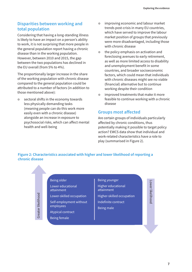### **Disparities between working and total population**

Considering that having a long-standing illness is likely to have an impact on a person's ability to work, it is not surprising that more people in the general population report having a chronic disease than in the working population. However, between 2010 and 2015, the gap between the two populations has declined in the EU overall (from 5% to 4%).

The proportionally larger increase in the share of the working population with chronic disease compared to the general population could be attributed to a number of factors (in addition to those mentioned above):

• sectoral shifts in the economy towards less physically demanding tasks (meaning people can do this work more easily even with a chronic disease) alongside an increase in exposure to psychosocial risks, which can affect mental health and well-being

- **•** improving economic and labour market trends post-crisis in many EU countries, which have served to improve the labour market position of groups that previously were more disadvantaged, including those with chronic disease
- $\bullet$  the policy emphasis on activation and foreclosing avenues to early retirement, as well as more limited access to disability and unemployment benefit in some countries, and broader socioeconomic factors, which could mean that individuals with chronic diseases might see no viable (financial) alternative but to continue working despite their condition
- **o** improved treatments that make it more feasible to continue working with a chronic disease

#### **Groups most affected**

Are certain groups of individuals particularly affected by chronic conditions, thus potentially making it possible to target policy action? EWCS data show that individual and work-related characteristics have a role to play (summarised in Figure 2).

#### **Figure 2: Characteristics associated with higher and lower likelihood of reporting a chronic disease**

#### Being older

Lower educational attainment

Lower-skilled occupation

Self-employment without employees

Atypical contract

Being female

Greater likelihood

Greater likelihood

#### Being younger

Higher educational attainment

Higher-skilled occupation

Indefinite contract

Being male

Lower likelihooc Lower likelihood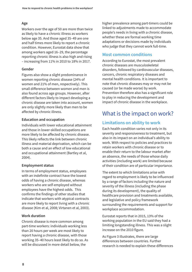#### **Age**

Workers over the age of 50 are more than twice as likely to have a chronic illness as workers below age 35. And those aged 35–49 are one and half times more likely to report a chronic condition. However, Eurostat data show that among workers aged 16–29, the percentage reporting chronic illness is also high and rising – increasing from 11% in 2010 to 18% in 2017.

#### **Gender**

Figures also show a slight predominance in women reporting chronic disease (24% of women and 21% of men, respectively). This small difference between women and men is also found across age groups. However, after different factors likely to impact developing a chronic disease are taken into account, women are only slightly more likely than men to be affected by chronic illness.

#### **Education and occupation**

Individuals with lower educational attainment and those in lower-skilled occupations are more likely to be affected by chronic disease. This likely reflects the link between chronic illness and material deprivation, which can be both a cause and an effect of low educational and occupational attainment (Bartley et al, 2004).

#### **Employment status**

In terms of employment status, employees with an indefinite contract have the lowest odds of having a chronic disease, whereas workers who are self-employed without employees have the highest odds. This confirms the findings of other studies that indicate that workers with atypical contracts are more likely to report living with a chronic disease (Kim et al, 2008; Virtanen et al, 2003).

#### **Work duration**

Chronic disease is more common among part-time workers: individuals working less than 20 hours per week are most likely to report having a chronic disease, with those working 35–40 hours least likely to do so. As will be discussed in more detail below, the

higher prevalence among part-timers could be linked to adjustments made to accommodate people's needs in living with a chronic disease, whether these are formal working time adaptations or decisions made by individuals who judge that they cannot work full-time.

### **Most common conditions**

According to Eurostat, the most prevalent chronic diseases are musculoskeletal disorders, followed by cardiovascular diseases, cancers, chronic respiratory diseases and mental health conditions. It is important to note that chronic diseases may or may not be caused (or be made worse) by work. Prevention therefore also has a significant role to play in reducing the development and impact of chronic disease in the workplace.

# What is the impact on work?

## **Limitations on ability to work**

Each health condition varies not only in its severity and responsiveness to treatment, but also in its impact on an individual's ability to work. With respect to policies and practices to retain workers with chronic disease or to enable their return to the labour market after an absence, the needs of those whose daily activities (including work) are limited because of their condition are of particular importance.

The extent to which limitations arise with regard to employment is likely to be influenced by a range of factors including the nature and severity of the illness (including the phase during its development), the quality of healthcare provision and treatments available, and legislative and policy framework surrounding the requirements and support for workplace accommodation.

Eurostat reports that in 2015, 13% of the working population in the EU said they had a limiting longstanding illness. This was a slight increase on the 2010 figure.

As Figure 3 illustrates, there are large differences between countries. Further research is needed to explain these differences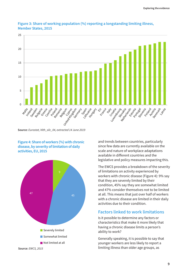

#### **Figure 3: Share of working population (%) reporting a longstanding limiting illness, Member States, 2015**

**Source:** *Eurostat, hlth\_silc\_04, extracted 14 June 2019*

#### **Figure 4: Share of workers (%) with chronic disease, by severity of limitation of daily activities, EU, 2015**



and trends between countries, particularly since few data are currently available on the scale and nature of workplace adaptations available in different countries and the legislative and policy measures impacting this.

The EWCS provides a breakdown of the severity of limitations on activity experienced by workers with chronic disease (Figure 4): 9% say that they are severely limited by their condition, 45% say they are somewhat limited and 47% consider themselves not to be limited at all. This means that just over half of workers with a chronic disease are limited in their daily activities due to their condition.

### **Factors linked to work limitations**

Is it possible to determine any factors or characteristics that make it more likely that having a chronic disease limits a person's ability to work?

Generally speaking, it is possible to say that younger workers are less likely to report a limiting illness than older age groups, as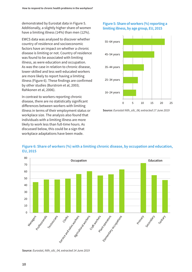demonstrated by Eurostat data in Figure 5. Additionally, a slightly higher share of women have a limiting illness (14%) than men (12%).

EWCS data was analysed to discover whether country of residence and socioeconomic factors have an impact on whether a chronic disease is limiting or not. Country of residence was found to be associated with limiting illness, as were education and occupation. As was the case in relation to chronic disease, lower-skilled and less well-educated workers are more likely to report having a limiting illness (Figure 6). These findings are confirmed by other studies (Burstrom et al, 2003; Rahkonen et al, 2006).

In contrast to workers reporting chronic disease, there are no statistically significant differences between workers with limiting illness in terms of their employment status or workplace size. The analysis also found that individuals with a limiting illness are more likely to work less than full-time hours. As discussed below, this could be a sign that workplace adaptations have been made.

#### **Figure 5: Share of workers (%) reporting a limiting illness, by age group, EU, 2015**



**Source:** *Eurostat hlth\_silc\_06; extracted 17 June 2019*



#### **Figure 6: Share of workers (%) with a limiting chronic disease, by occupation and education, EU, 2015**

**Source:** *Eurostat, hlth\_silc\_04, extracted 14 June 2019*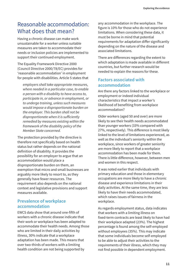# Reasonable accommodation: What does that mean?

Having a chronic disease can make work unsustainable for a worker unless suitable measures are taken to accommodate their needs or inclusion policies are implemented to support their continued employment.

The Equality Framework Directive 2000 (Council Directive 2000/78/EC) provides for 'reasonable accommodation' in employment for people with disabilities. Article 5 states that

*employers shall take appropriate measures, where needed in a particular case, to enable a person with a disability to have access to, participate in, or advance in employment, or to undergo training, unless such measures would impose a disproportionate burden on the employer. This burden shall not be disproportionate when it is sufficiently remedied by measures existing within the framework of the disability policy of the Member State concerned.*

The protection provided by the directive is therefore not specifically based on health status but rather depends on the national definition of disability. It provides the possibility for an employer to argue that an accommodation would place a disproportionate burden on them, an exemption that micro and small businesses are arguably more likely to resort to, as they generally have fewer resources. The requirement also depends on the national context and legislative provisions and support measures available.

## **Prevalence of workplace accommodation**

EWCS data show that around one-fifth of workers with a chronic disease indicate that their work or workplace has been adapted to accommodate their health needs. Among those who are limited in their daily activities by illness, 30% indicate that a workplace adaptation has been made. This means that over two-thirds of workers with a limiting health condition are not being supported by

any accommodation in the workplace. The figure is 10% for those who do not experience limitations. When considering these data, it must be borne in mind that potential requirements for adaptation differ significantly depending on the nature of the disease and associated limitations.

There are differences regarding the extent to which adaptation is made available in different countries, but further research would be needed to explain the reasons for these.

### **Factors associated with accommodation**

Are there any factors linked to the workplace or employment or indeed individual characteristics that impact a worker's likelihood of benefiting from workplace accommodation?

Older workers (aged 50 and over) are more likely to see their health needs accommodated than younger workers (33% compared with 27%, respectively). This difference is most likely linked to the level of limitations experienced, as well as the individual's seniority within the workplace, since workers of greater seniority are more likely to report that a workplace accommodation has been made for them. There is little difference, however, between men and women in this respect.

It was noted earlier that individuals with primary education and those in elementary occupations are more likely to have a chronic disease and experience limitations in their daily activities. At the same time, they are less likely to have their needs accommodated, which raises issues of fairness in the workplace.

As regards employment status, data indicates that workers with a limiting illness on fixed-term contracts are least likely to have had their workplace adapted (23%). The highest percentage is found among the self-employed without employees (35%). This may indicate that some individuals become self-employed to be able to adjust their activities to the requirements of their illness, which they may not find possible in dependent employment.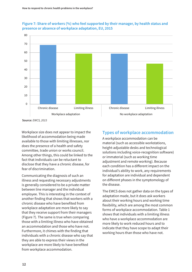

#### **Figure 7: Share of workers (%) who feel supported by their manager, by health status and presence or absence of workplace adaptation, EU, 2015**

**Source:** *EWCS, 2015*

Workplace size does not appear to impact the likelihood of accommodation being made available to those with limiting illnesses, nor does the presence of a health and safety committee, trade union or works council. Among other things, this could be linked to the fact that individuals can be reluctant to disclose that they have a chronic disease, for fear of discrimination.

Communicating the diagnosis of such an illness and requesting necessary adjustments is generally considered to be a private matter between line manager and the individual employee. This is interesting in the context of another finding that shows that workers with a chronic disease who have benefited from workplace adaptation are more likely to say that they receive support from their managers (Figure 7). The same is true when comparing those with a limiting illness who have obtained an accommodation and those who have not. Furthermore, it chimes with the finding that individuals with a chronic disease who say that they are able to express their views in the workplace are more likely to have benefited from workplace accommodation.

## **Types of workplace accommodation**

A workplace accommodation can be material (such as accessible workstations, height-adjustable desks and technological solutions including voice-recognition software) or immaterial (such as working time adjustment and remote working). Because each condition has a different impact on the individual's ability to work, any requirements for adaptation are individual and dependent on different phases in the symptomology of the disease.

The EWCS does not gather data on the types of adaptation made, but it does ask workers about their working hours and working time flexibility, which are among the most common forms of workplace accommodation. Table 1 shows that individuals with a limiting illness who have a workplace accommodation are more likely to work reduced hours and to indicate that they have scope to adapt their working hours than those who have not.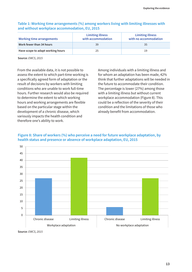#### **Table 1: Working time arrangements (%) among workers living with limiting illnesses with and without workplace accommodation, EU, 2015**

| Working time arrangements         | <b>Limiting illness</b><br>with accommodation | <b>Limiting illness</b><br>with no accommodation |
|-----------------------------------|-----------------------------------------------|--------------------------------------------------|
| Work fewer than 34 hours          | 39                                            | 35                                               |
| Have scope to adapt working hours | 25                                            | 19                                               |

**Source:** *EWCS, 2015*

From the available data, it is not possible to assess the extent to which part-time working is a specifically agreed form of adaptation or the result of decisions by workers with limiting conditions who are unable to work full-time hours. Further research would also be required to determine the extent to which working hours and working arrangements are flexible based on the particular stage within the development of a chronic disease, which variously impacts the health condition and therefore one's ability to work.

Among individuals with a limiting illness and for whom an adaptation has been made, 42% think that further adaptations will be needed in the future to accommodate their condition. The percentage is lower (27%) among those with a limiting illness but without current workplace accommodation (Figure 8). This could be a reflection of the severity of their condition and the limitations of those who already benefit from accommodation.





**Source:** *EWCS, 2015*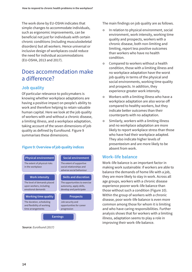The work done by EU-OSHA indicates that simple changes to accommodate individuals, such as ergonomic improvements, can be beneficial not just for individuals with certain chronic conditions (including musculoskeletal disorders) but all workers. Hence universal or inclusive design of workplaces could reduce the need for individual accommodations (EU-OSHA, 2013 and 2017).

# Does accommodation make a difference?

## **Job quality**

Of particular relevance to policymakers is knowing whether workplace adaptations are having a positive impact on people's ability to work and therefore helping to retain valuable human capital. Here we look at the job quality of workers with and without a chronic disease, a limiting illness, and a workplace adaptation, taking account of the seven dimensions of job quality as defined by Eurofound. Figure 9 summarises these dimensions.

#### **Figure 9: Overview of job quality indices**



**Source:** *Eurofound (2017)*

The main findings on job quality are as follows.

- **•** In relation to physical environment, social environment, work intensity, working time quality and prospects, workers with a chronic disease, both non-limiting and limiting, report less positive outcomes than workers who have no health condition.
- Compared to workers without a health condition, those with a limiting illness and no workplace adaptation have the worst job quality in terms of the physical and social environments, working time quality and prospects. In addition, they experience greater work intensity.
- Workers with a limiting illness who have a workplace adaptation are also worse off compared to healthy workers, but they indicate better outcomes than their counterparts with no adaptation.
- **•** Similarly, workers with a limiting illness and no workplace adaptation are more likely to report workplace stress than those who have had their workplace adapted. They also indicate higher levels of presenteeism and are more likely to be absent from work.

#### **Work–life balance**

Work–life balance is an important factor in making work sustainable: if workers are able to balance the demands of home life with a job, they are more likely to stay in work. Across all age groups, workers with a chronic disease experience poorer work–life balance than those without such a condition (Figure 10). Within the group of workers with a chronic disease, poor work–life balance is even more common among those for whom it is limiting and who have caring responsibilities. Further analysis shows that for workers with a limiting illness, adaptation seems to play a role in improving their work–life balance.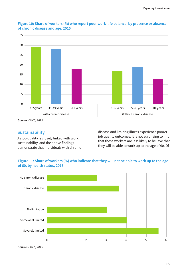![](_page_16_Figure_1.jpeg)

#### **Figure 10: Share of workers (%) who report poor work–life balance, by presence or absence of chronic disease and age, 2015**

**Source:** *EWCS, 2015*

#### **Sustainability**

As job quality is closely linked with work sustainability, and the above findings demonstrate that individuals with chronic disease and limiting illness experience poorer job quality outcomes, it is not surprising to find that these workers are less likely to believe that they will be able to work up to the age of 60. Of

#### **Figure 11: Share of workers (%) who indicate that they will not be able to work up to the age of 60, by health status, 2015**

![](_page_16_Figure_8.jpeg)

**Source:** *EWCS, 2015*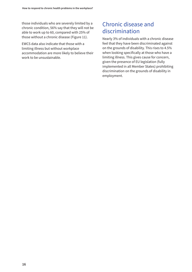those individuals who are severely limited by a chronic condition, 56% say that they will not be able to work up to 60, compared with 25% of those without a chronic disease (Figure 11).

EWCS data also indicate that those with a limiting illness but without workplace accommodation are more likely to believe their work to be unsustainable.

# Chronic disease and discrimination

Nearly 3% of individuals with a chronic disease feel that they have been discriminated against on the grounds of disability. This rises to 4.5% when looking specifically at those who have a limiting illness. This gives cause for concern, given the presence of EU legislation (fully implemented in all Member States) prohibiting discrimination on the grounds of disability in employment.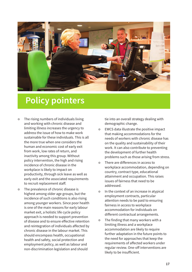![](_page_18_Picture_0.jpeg)

# **Policy pointers**

- The rising numbers of individuals living and working with chronic disease and limiting illness increases the urgency to address the issue of how to make work sustainable for these individuals. This is all the more true when one considers the human and economic cost of early exit from work, low rates of return, and inactivity among this group. Without policy intervention, the high and rising incidence of chronic disease in the workplace is likely to impact on productivity, through sick leave as well as early exit and the associated requirements to recruit replacement staff.
- The prevalence of chronic disease is highest among older age groups, but the incidence of such conditions is also rising among younger workers. Since poor health is one of the main reasons for early labour market exit, a holistic life cycle policy approach is needed to support prevention of disease and to ensure effective retention and reintegration of individuals affected by chronic disease in the labour market. This should encompass health, occupational health and safety, social protection and employment policy, as well as labour and non-discrimination legislation and should

tie into an overall strategy dealing with demographic change.

- **EWCS data illustrate the positive impact** that making accommodations for the needs of workers with chronic disease has on the quality and sustainability of their work. It can also contribute to preventing the development of further health problems such as those arising from stress.
- **•** There are differences in access to workplace accommodation, depending on country, contract type, educational attainment and occupation. This raises issues of fairness that need to be addressed.
- In the context of an increase in atypical employment contracts, particular attention needs to be paid to ensuring fairness in access to workplace accommodation for individuals on different contractual arrangements.
- The finding that many workers with a limiting illness and a workplace accommodation are likely to require further adaptation in the future points to the need for approaches that keep the requirements of affected workers under regular review. One-off interventions are likely to be insufficient.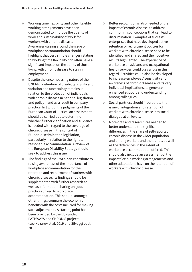- Working time flexibility and other flexible working arrangements have been demonstrated to improve the quality of work and sustainability of work for workers with chronic disease. Awareness-raising around the issue of workplace accommodation should highlight that very simple changes relating to working time flexibility can often have a significant impact on the ability of those living with chronic disease to stay in employment.
- **•** Despite the encompassing nature of the UNCRPD definition of disability, significant variation and uncertainty remains in relation to the protection of individuals with chronic disease in national legislation and policy – and as a result in company practice. In light of the judgments of the European Court of Justice, an assessment should be carried out to determine whether further clarification and guidance is needed with regard to the coverage of chronic disease in the context of EU non-discrimination legislation, particularly in relation to the right to reasonable accommodation. A review of the European Disability Strategy should seek to address this issue.
- The findings of the EWCS can contribute to raising awareness of the importance of workplace accommodation for the retention and recruitment of workers with chronic disease. Its findings should be supplemented with further research as well as information-sharing on good practices linked to workplace accommodation. This should, amongst other things, compare the economic benefits with the costs incurred for making such adjustments. A starting point has been provided by the EU-funded PATHWAYS and CHRODIS projects (see Nazarov et al, 2019 and Silvaggi et al, 2019).
- **EXECUTE:** Better recognition is also needed of the impact of chronic disease, to address common misconceptions that can lead to discrimination. Examples of successful enterprises that have developed active retention or recruitment policies for workers with chronic disease need to be identified and shared and their positive results highlighted. The experience of workplace physicians and occupational health services could play a role in this regard. Activities could also be developed to increase employees' sensitivity and awareness of chronic disease and its very individual implications, to generate enhanced support and understanding among colleagues.
- **•** Social partners should incorporate the issue of integration and retention of workers with chronic disease into social dialogue at all levels.
- More data and research are needed to better understand the significant differences in the share of self-reported chronic disease in the wider population and among workers and the trends, as well as the differences in the extent of workplace accommodation offered. This should also include an assessment of the impact flexible working arrangements and other adaptations have on the retention of workers with chronic disease.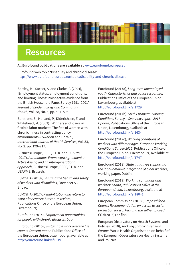![](_page_20_Picture_0.jpeg)

# **Resources**

**All Eurofound publications are available at** [www.eurofound.europa.eu](http://www.eurofound.europa.eu)

Eurofound web topic 'Disability and chronic disease', <https://www.eurofound.europa.eu/topic/disability-and-chronic-disease>

Bartley, M., Sacker, A. and Clarke, P. (2004), 'Employment status, employment conditions, and limiting illness: Prospective evidence from the British Household Panel Survey 1991–2001', *Journal of Epidemiology and Community Health*, Vol. 58, No. 6, pp. 501–506.

Burstrom, B., Holland, P., Diderichsen, F. and Whitehead, M. (2003), 'Winners and losers in flexible labor markets: The fate of women with chronic illness in contrasting policy environments – Sweden and Britain', *International Journal of Health Services*, Vol. 33, No. 2, pp. 199–217.

BusinessEurope, CEEP, ETUC and UEAPME (2017), *Autonomous Framework Agreement on Active Ageing and an Inter-generational Approach*, BusinessEurope, CEEP, ETUC and UEAPME, Brussels.

EU-OSHA (2013), *Ensuring the health and safety of workers with disabilities*, Factsheet 53, Bilbao.

EU-OSHA (2017), *Rehabilitation and return to work after cancer: Literature review*, Publications Office of the European Union, Luxembourg.

Eurofound (2014), *Employment opportunities for people with chronic diseases*, Dublin.

Eurofound (2015), *Sustainable work over the life course: Concept paper*, Publications Office of the European Union, Luxembourg, available at <http://eurofound.link/ef1519>

Eurofound (2017a), *Long-term unemployed youth: Characteristics and policy responses*, Publications Office of the European Union, Luxembourg, available at <http://eurofound.link/ef1729>

Eurofound (2017b), *Sixth European Working Conditions Survey – Overview report: 2017 Update*, Publications Office of the European Union, Luxembourg, available at <http://eurofound.link/ef1634>

Eurofound (2017c), *Working conditions of workers with different ages: European Working Conditions Survey 2015*, Publications Office of the European Union, Luxembourg, available at <http://eurofound.link/ef1747>

Eurofound (2018), *State initiatives supporting the labour market integration of older workers*, working paper, Dublin.

Eurofound (2019), *Working conditions and workers' health, Publications Office of the European Union*, Luxembourg, available at <http://eurofound.link/ef18041>

European Commission (2018), *Proposal for a Council Recommendation on access to social protection for workers and the self-employed*, COM(2018)132 final.

European Observatory on Health Systems and Policies (2010), *Tackling chronic disease in Europe*, World Health Organisation on behalf of the European Observatory on Health Systems and Policies.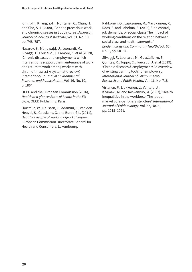Kim, I.-H., Khang, Y.-H., Muntaner, C., Chun, H. and Cho, S.-I. (2008), 'Gender, precarious work, and chronic diseases in South Korea', *American Journal of Industrial Medicine*, Vol. 51, No. 10, pp. 748–757.

Nazarov, S., Manuwald, U., Leonardi, M., Silvaggi, F., Foucaud, J., Lamore, K. et al (2019), 'Chronic diseases and employment: Which interventions support the maintenance of work and return to work among workers with chronic illnesses? A systematic review', *International Journal of Environmental Research and Public Health*, Vol. 16, No. 10, p. 1864.

OECD and the European Commission (2016), *Health at a glance: State of health in the EU cycle*, OECD Publishing, Paris.

Oortmijn, W., Nelissen, E., Adamini, S., van den Heuvel, S., Geuskens, G. and Burdorf, L. (2011), *Health of people of working age – Full report*, European Commission Directorate General for Health and Consumers, Luxembourg.

Rahkonen, O., Laaksonen, M., Martikainen, P., Roos, E. and Lahelma, E. (2006), 'Job control, job demands, or social class? The impact of working conditions on the relation between social class and health', *Journal of Epidemiology and Community Health*, Vol. 60, No. 1, pp. 50–54.

Silvaggi, F., Leonardi, M., Guastafierro, E., Quintas, R., Toppo, C., Foucaud, J. et al (2019), 'Chronic diseases & employment: An overview of existing training tools for employers', *International Journal of Environmental Research and Public Health*, Vol. 16, No. 718.

Virtanen, P., Liukkonen, V., Vahtera, J., Kivimaki, M. and Koskenvuo, M. (2003), 'Health inequalities in the workforce: The labour market core-periphery structure', *International Journal of Epidemiology*, Vol. 32, No. 6, pp. 1015–1021.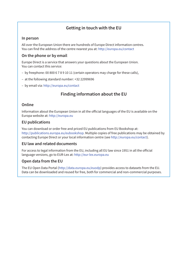## **Getting in touch with the EU**

#### **In person**

All over the European Union there are hundreds of Europe Direct information centres. You can find the address of the centre nearest you at:<http://europa.eu/contact>

#### **On the phone or by email**

Europe Direct is a service that answers your questions about the European Union. You can contact this service:

- by freephone: 00 800 6 7 8 9 10 11 (certain operators may charge for these calls),
- at the following standard number: +32 22999696
- by email via: <http://europa.eu/contact>

## **Finding information about the EU**

#### **Online**

Information about the European Union in all the official languages of the EU is available on the Europa website at: <http://europa.eu>

#### **EU publications**

You can download or order free and priced EU publications from EU Bookshop at: [http://publications.europa.eu/eubookshop. Mu](http://publications.europa.eu/eubookshop)ltiple copies of free publications may be obtained by contacting Europe Direct or your local information centre (see [http://europa.eu/contact\).](http://europa.eu/contact)

#### **EU law and related documents**

For access to legal information from the EU, including all EU law since 1951 in all the official language versions, go to EUR-Lex at:<http://eur-lex.europa.eu>

#### **Open data from the EU**

The EU Open Data Portal [\(http://data.europa.eu/euodp\) pr](http://data.europa.eu/euodp)ovides access to datasets from the EU. Data can be downloaded and reused for free, both for commercial and non-commercial purposes.